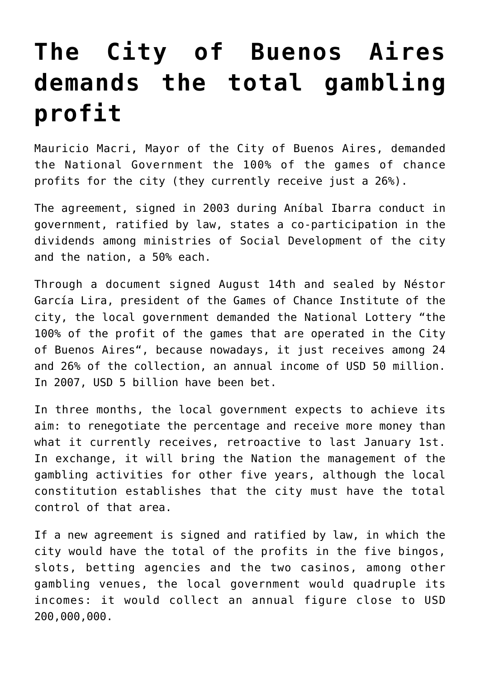## **[The City of Buenos Aires](https://www.isa-guide.de/english-news/articles/22576.html) [demands the total gambling](https://www.isa-guide.de/english-news/articles/22576.html) [profit](https://www.isa-guide.de/english-news/articles/22576.html)**

Mauricio Macri, Mayor of the City of Buenos Aires, demanded the National Government the 100% of the games of chance profits for the city (they currently receive just a 26%).

The agreement, signed in 2003 during Aníbal Ibarra conduct in government, ratified by law, states a co-participation in the dividends among ministries of Social Development of the city and the nation, a 50% each.

Through a document signed August 14th and sealed by Néstor García Lira, president of the Games of Chance Institute of the city, the local government demanded the National Lottery "the 100% of the profit of the games that are operated in the City of Buenos Aires", because nowadays, it just receives among 24 and 26% of the collection, an annual income of USD 50 million. In 2007, USD 5 billion have been bet.

In three months, the local government expects to achieve its aim: to renegotiate the percentage and receive more money than what it currently receives, retroactive to last January 1st. In exchange, it will bring the Nation the management of the gambling activities for other five years, although the local constitution establishes that the city must have the total control of that area.

If a new agreement is signed and ratified by law, in which the city would have the total of the profits in the five bingos, slots, betting agencies and the two casinos, among other gambling venues, the local government would quadruple its incomes: it would collect an annual figure close to USD 200,000,000.